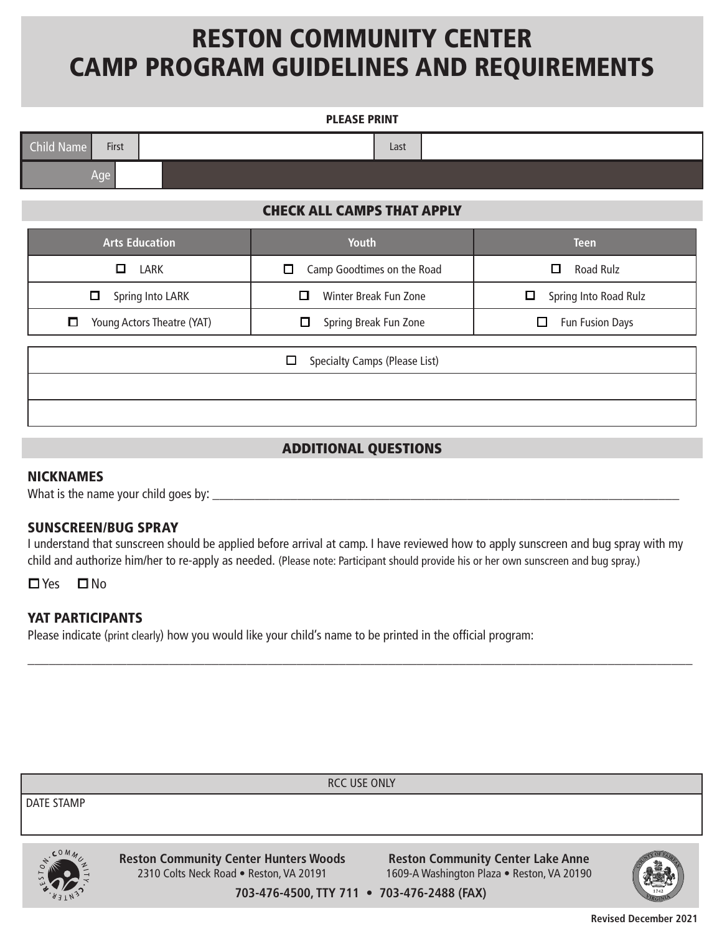# RESTON COMMUNITY CENTER CAMP PROGRAM GUIDELINES AND REQUIREMENTS

### PLEASE PRINT

| Child Name | First |  | Last |  |
|------------|-------|--|------|--|
|            | Age   |  |      |  |

# CHECK ALL CAMPS THAT APPLY

| <b>Arts Education</b>      | <b>Youth</b>                            | <b>Teen</b>            |  |  |  |
|----------------------------|-----------------------------------------|------------------------|--|--|--|
| □                          | Camp Goodtimes on the Road              | <b>Road Rulz</b>       |  |  |  |
| <b>LARK</b>                | □                                       | □                      |  |  |  |
| Spring Into LARK           | Winter Break Fun Zone                   | Spring Into Road Rulz  |  |  |  |
| □                          | □                                       | ⊔                      |  |  |  |
| О                          | Spring Break Fun Zone                   | <b>Fun Fusion Days</b> |  |  |  |
| Young Actors Theatre (YAT) | □                                       | ப                      |  |  |  |
|                            | Specialty Camps (Please List)<br>$\Box$ |                        |  |  |  |

## ADDITIONAL QUESTIONS

### NICKNAMES

What is the name your child goes by:

### SUNSCREEN/BUG SPRAY

I understand that sunscreen should be applied before arrival at camp. I have reviewed how to apply sunscreen and bug spray with my child and authorize him/her to re-apply as needed. (Please note: Participant should provide his or her own sunscreen and bug spray.)

\_\_\_\_\_\_\_\_\_\_\_\_\_\_\_\_\_\_\_\_\_\_\_\_\_\_\_\_\_\_\_\_\_\_\_\_\_\_\_\_\_\_\_\_\_\_\_\_\_\_\_\_\_\_\_\_\_\_\_\_\_\_\_\_\_\_\_\_\_\_\_\_\_\_\_\_\_\_\_\_\_\_\_\_\_\_\_\_\_\_\_\_\_\_

□**Yes** □No

## YAT PARTICIPANTS

Please indicate (print clearly) how you would like your child's name to be printed in the official program:





**Revised December 2021**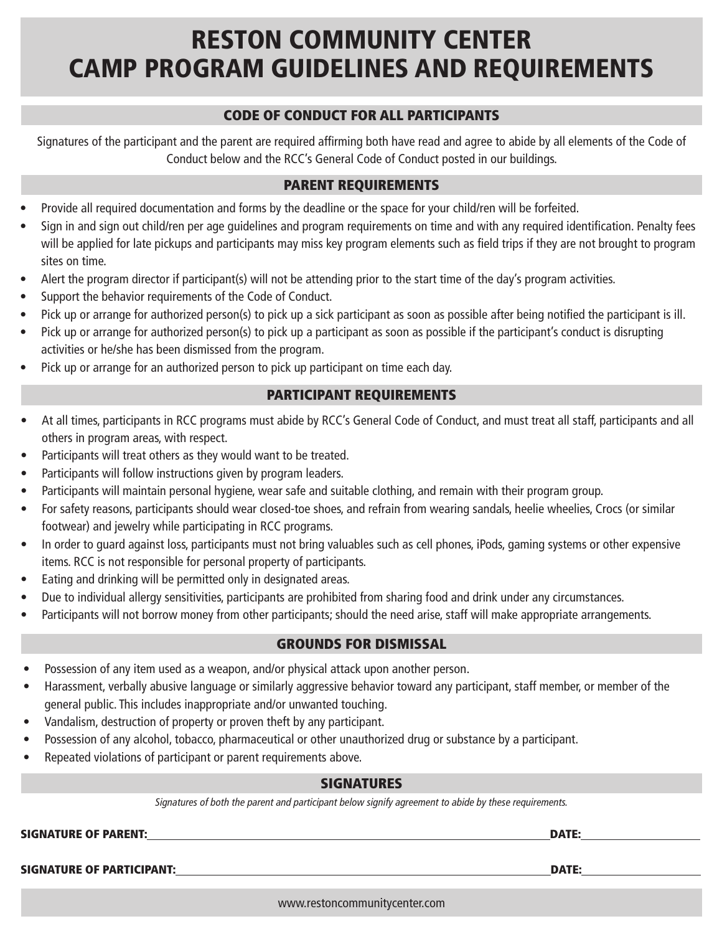# RESTON COMMUNITY CENTER CAMP PROGRAM GUIDELINES AND REQUIREMENTS

# CODE OF CONDUCT FOR ALL PARTICIPANTS

Signatures of the participant and the parent are required affirming both have read and agree to abide by all elements of the Code of Conduct below and the RCC's General Code of Conduct posted in our buildings.

# PARENT REQUIREMENTS

- Provide all required documentation and forms by the deadline or the space for your child/ren will be forfeited.
- Sign in and sign out child/ren per age guidelines and program requirements on time and with any required identification. Penalty fees will be applied for late pickups and participants may miss key program elements such as field trips if they are not brought to program sites on time.
- Alert the program director if participant(s) will not be attending prior to the start time of the day's program activities.
- Support the behavior requirements of the Code of Conduct.
- Pick up or arrange for authorized person(s) to pick up a sick participant as soon as possible after being notified the participant is ill.
- Pick up or arrange for authorized person(s) to pick up a participant as soon as possible if the participant's conduct is disrupting activities or he/she has been dismissed from the program.
- Pick up or arrange for an authorized person to pick up participant on time each day.

### PARTICIPANT REQUIREMENTS

- At all times, participants in RCC programs must abide by RCC's General Code of Conduct, and must treat all staff, participants and all others in program areas, with respect.
- Participants will treat others as they would want to be treated.
- Participants will follow instructions given by program leaders.
- Participants will maintain personal hygiene, wear safe and suitable clothing, and remain with their program group.
- For safety reasons, participants should wear closed-toe shoes, and refrain from wearing sandals, heelie wheelies, Crocs (or similar footwear) and jewelry while participating in RCC programs.
- In order to guard against loss, participants must not bring valuables such as cell phones, iPods, gaming systems or other expensive items. RCC is not responsible for personal property of participants.
- Eating and drinking will be permitted only in designated areas.
- Due to individual allergy sensitivities, participants are prohibited from sharing food and drink under any circumstances.
- Participants will not borrow money from other participants; should the need arise, staff will make appropriate arrangements.

# GROUNDS FOR DISMISSAL

- Possession of any item used as a weapon, and/or physical attack upon another person.
- Harassment, verbally abusive language or similarly aggressive behavior toward any participant, staff member, or member of the general public. This includes inappropriate and/or unwanted touching.
- Vandalism, destruction of property or proven theft by any participant.
- Possession of any alcohol, tobacco, pharmaceutical or other unauthorized drug or substance by a participant.
- Repeated violations of participant or parent requirements above.

### SIGNATURES

Signatures of both the parent and participant below signify agreement to abide by these requirements.

SIGNATURE OF PARENT: DATE:

SIGNATURE OF PARTICIPANT: DATE:

www.restoncommunitycenter.com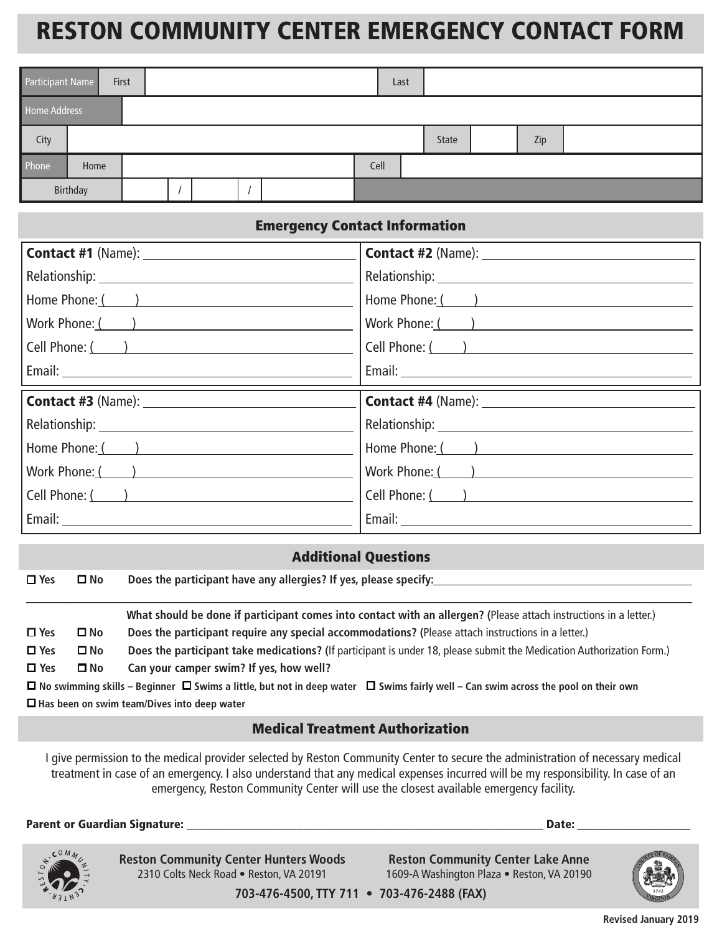# RESTON COMMUNITY CENTER EMERGENCY CONTACT FORM

| Participant Name |          | First |  |  |      | Last |       |     |  |
|------------------|----------|-------|--|--|------|------|-------|-----|--|
| Home Address     |          |       |  |  |      |      |       |     |  |
| City             |          |       |  |  |      |      | State | Zip |  |
| Phone            | Home     |       |  |  | Cell |      |       |     |  |
|                  | Birthday |       |  |  |      |      |       |     |  |

# Emergency Contact Information

| Home Phone: ( )        | Home Phone: ( ) |
|------------------------|-----------------|
| Work Phone: ( )        | Work Phone: ( ) |
| Cell Phone: ( <u>)</u> | Cell Phone: ( ) |
|                        |                 |
|                        |                 |
|                        |                 |
|                        |                 |
| Home Phone: ( )        | Home Phone: ( ) |
| Work Phone: ( )        | Work Phone: ( ) |
| Cell Phone: ( )        | Cell Phone: ( ) |

### Additional Questions

o **Yes** o **No Does the participant have any allergies? If yes, please specify:**

|               |                                                                                                                                                    | What should be done if participant comes into contact with an allergen? (Please attach instructions in a letter.)     |  |  |  |  |  |
|---------------|----------------------------------------------------------------------------------------------------------------------------------------------------|-----------------------------------------------------------------------------------------------------------------------|--|--|--|--|--|
| $\square$ Yes | $\square$ No                                                                                                                                       | Does the participant require any special accommodations? (Please attach instructions in a letter.)                    |  |  |  |  |  |
| $\square$ Yes | $\square$ No                                                                                                                                       | Does the participant take medications? (If participant is under 18, please submit the Medication Authorization Form.) |  |  |  |  |  |
| $\square$ Yes | $\square$ No                                                                                                                                       | Can your camper swim? If yes, how well?                                                                               |  |  |  |  |  |
|               | $\Box$ No swimming skills – Beginner $\Box$ Swims a little, but not in deep water $\Box$ Swims fairly well – Can swim across the pool on their own |                                                                                                                       |  |  |  |  |  |

□ Has been on swim team/Dives into deep water

## Medical Treatment Authorization

I give permission to the medical provider selected by Reston Community Center to secure the administration of necessary medical treatment in case of an emergency. I also understand that any medical expenses incurred will be my responsibility. In case of an emergency, Reston Community Center will use the closest available emergency facility.

Parent or Guardian Signature: \_\_\_\_\_\_\_\_\_\_\_\_\_\_\_\_\_\_\_\_\_\_\_\_\_\_\_\_\_\_\_\_\_\_\_\_\_\_\_\_\_\_\_\_\_\_\_\_\_\_\_\_\_\_\_ Date: \_\_\_\_\_\_\_\_\_\_\_\_\_\_\_\_



**Reston Community Center Hunters Woods** 2310 Colts Neck Road • Reston, VA 20191

**Reston Community Center Lake Anne** 1609-A Washington Plaza • Reston, VA 20190



**703-476-4500, TTY 711 • 703-476-2488 (FAX)**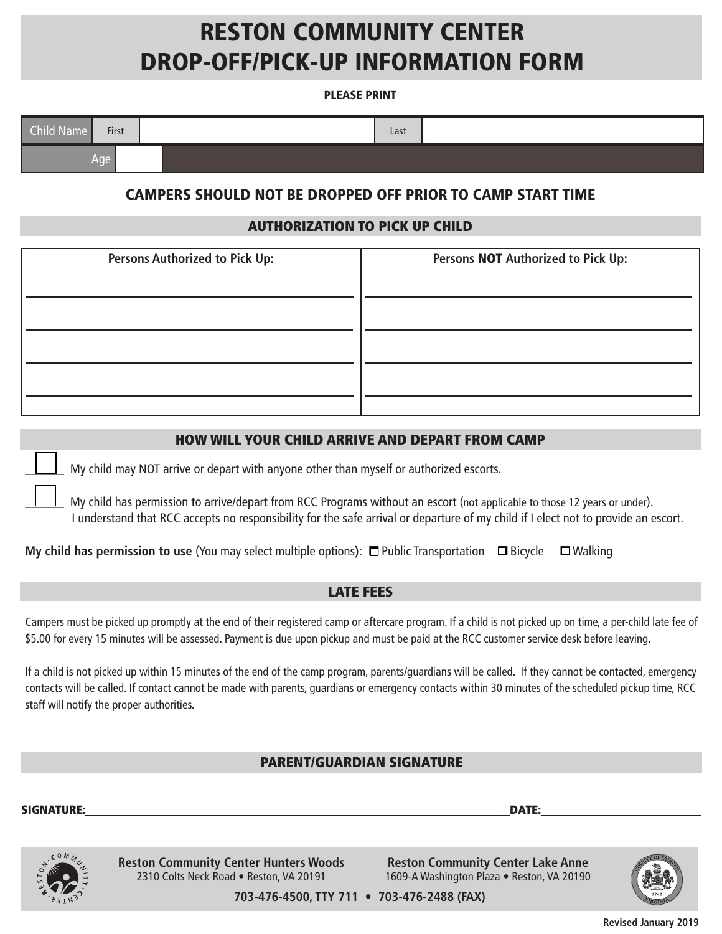# RESTON COMMUNITY CENTER DROP-OFF/PICK-UP INFORMATION FORM

#### PLEASE PRINT

| Child Name | First | Last |  |
|------------|-------|------|--|
|            | Age   |      |  |

# CAMPERS SHOULD NOT BE DROPPED OFF PRIOR TO CAMP START TIME

### AUTHORIZATION TO PICK UP CHILD

| <b>Persons Authorized to Pick Up:</b> | Persons NOT Authorized to Pick Up: |
|---------------------------------------|------------------------------------|
|                                       |                                    |
|                                       |                                    |
|                                       |                                    |
|                                       |                                    |
|                                       |                                    |

### HOW WILL YOUR CHILD ARRIVE AND DEPART FROM CAMP

My child may NOT arrive or depart with anyone other than myself or authorized escorts.

My child has permission to arrive/depart from RCC Programs without an escort (not applicable to those 12 years or under). I understand that RCC accepts no responsibility for the safe arrival or departure of my child if I elect not to provide an escort.

| My child has permission to use (You may select multiple options): $\Box$ Public Transportation $\Box$ Bicycle $\Box$ Walking |  |  |
|------------------------------------------------------------------------------------------------------------------------------|--|--|
|------------------------------------------------------------------------------------------------------------------------------|--|--|

### LATE FEES

Campers must be picked up promptly at the end of their registered camp or aftercare program. If a child is not picked up on time, a per-child late fee of \$5.00 for every 15 minutes will be assessed. Payment is due upon pickup and must be paid at the RCC customer service desk before leaving.

If a child is not picked up within 15 minutes of the end of the camp program, parents/guardians will be called. If they cannot be contacted, emergency contacts will be called. If contact cannot be made with parents, guardians or emergency contacts within 30 minutes of the scheduled pickup time, RCC staff will notify the proper authorities.

### PARENT/GUARDIAN SIGNATURE

SIGNATURE: DATE:



**Reston Community Center Hunters Woods** 2310 Colts Neck Road • Reston, VA 20191

**Reston Community Center Lake Anne** 1609-A Washington Plaza • Reston, VA 20190



**703-476-4500, TTY 711 • 703-476-2488 (FAX)**

**Revised January 2019**